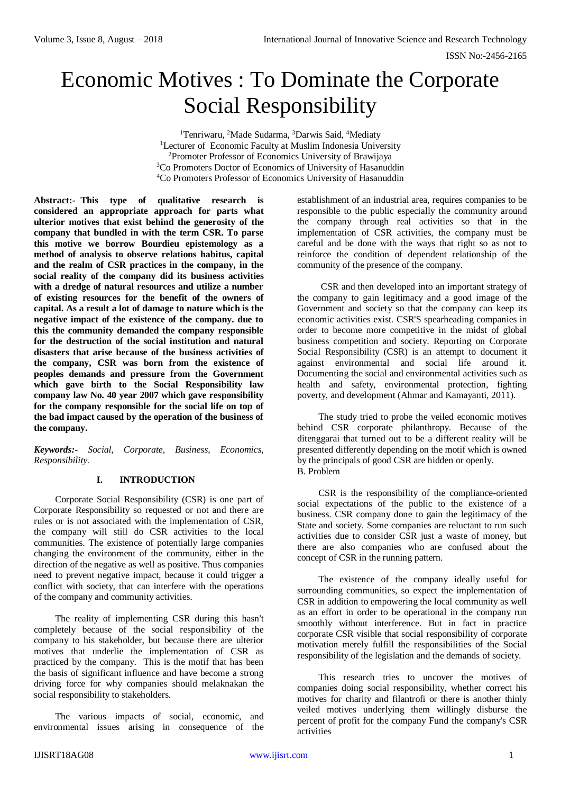# Economic Motives : To Dominate the Corporate Social Responsibility

<sup>1</sup>Tenriwaru, <sup>2</sup>Made Sudarma, <sup>3</sup>Darwis Said, <sup>4</sup>Mediaty <sup>1</sup>Lecturer of Economic Faculty at Muslim Indonesia University <sup>2</sup>Promoter Professor of Economics University of Brawijaya <sup>3</sup>Co Promoters Doctor of Economics of University of Hasanuddin <sup>4</sup>Co Promoters Professor of Economics University of Hasanuddin

**Abstract:- This type of qualitative research is considered an appropriate approach for parts what ulterior motives that exist behind the generosity of the company that bundled in with the term CSR. To parse this motive we borrow Bourdieu epistemology as a method of analysis to observe relations habitus, capital and the realm of CSR practices in the company, in the social reality of the company did its business activities with a dredge of natural resources and utilize a number of existing resources for the benefit of the owners of capital. As a result a lot of damage to nature which is the negative impact of the existence of the company. due to this the community demanded the company responsible for the destruction of the social institution and natural disasters that arise because of the business activities of the company, CSR was born from the existence of peoples demands and pressure from the Government which gave birth to the Social Responsibility law company law No. 40 year 2007 which gave responsibility for the company responsible for the social life on top of the bad impact caused by the operation of the business of the company.**

*Keywords:- Social, Corporate, Business, Economics, Responsibility.*

### **I. INTRODUCTION**

Corporate Social Responsibility (CSR) is one part of Corporate Responsibility so requested or not and there are rules or is not associated with the implementation of CSR, the company will still do CSR activities to the local communities. The existence of potentially large companies changing the environment of the community, either in the direction of the negative as well as positive. Thus companies need to prevent negative impact, because it could trigger a conflict with society, that can interfere with the operations of the company and community activities.

The reality of implementing CSR during this hasn't completely because of the social responsibility of the company to his stakeholder, but because there are ulterior motives that underlie the implementation of CSR as practiced by the company. This is the motif that has been the basis of significant influence and have become a strong driving force for why companies should melaknakan the social responsibility to stakeholders.

The various impacts of social, economic, and environmental issues arising in consequence of the

establishment of an industrial area, requires companies to be responsible to the public especially the community around the company through real activities so that in the implementation of CSR activities, the company must be careful and be done with the ways that right so as not to reinforce the condition of dependent relationship of the community of the presence of the company.

CSR and then developed into an important strategy of the company to gain legitimacy and a good image of the Government and society so that the company can keep its economic activities exist. CSR'S spearheading companies in order to become more competitive in the midst of global business competition and society. Reporting on Corporate Social Responsibility (CSR) is an attempt to document it against environmental and social life around it. Documenting the social and environmental activities such as health and safety, environmental protection, fighting poverty, and development (Ahmar and Kamayanti, 2011).

The study tried to probe the veiled economic motives behind CSR corporate philanthropy. Because of the ditenggarai that turned out to be a different reality will be presented differently depending on the motif which is owned by the principals of good CSR are hidden or openly. B. Problem

CSR is the responsibility of the compliance-oriented social expectations of the public to the existence of a business. CSR company done to gain the legitimacy of the State and society. Some companies are reluctant to run such activities due to consider CSR just a waste of money, but there are also companies who are confused about the concept of CSR in the running pattern.

The existence of the company ideally useful for surrounding communities, so expect the implementation of CSR in addition to empowering the local community as well as an effort in order to be operational in the company run smoothly without interference. But in fact in practice corporate CSR visible that social responsibility of corporate motivation merely fulfill the responsibilities of the Social responsibility of the legislation and the demands of society.

This research tries to uncover the motives of companies doing social responsibility, whether correct his motives for charity and filantrofi or there is another thinly veiled motives underlying them willingly disburse the percent of profit for the company Fund the company's CSR activities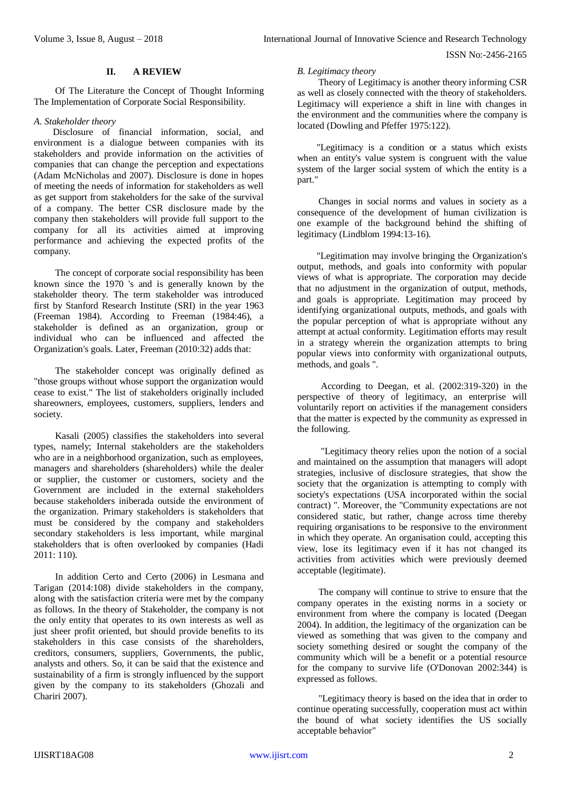#### **II. A REVIEW**

Of The Literature the Concept of Thought Informing The Implementation of Corporate Social Responsibility.

#### *A. Stakeholder theory*

 Disclosure of financial information, social, and environment is a dialogue between companies with its stakeholders and provide information on the activities of companies that can change the perception and expectations (Adam McNicholas and 2007). Disclosure is done in hopes of meeting the needs of information for stakeholders as well as get support from stakeholders for the sake of the survival of a company. The better CSR disclosure made by the company then stakeholders will provide full support to the company for all its activities aimed at improving performance and achieving the expected profits of the company.

The concept of corporate social responsibility has been known since the 1970 's and is generally known by the stakeholder theory. The term stakeholder was introduced first by Stanford Research Institute (SRI) in the year 1963 (Freeman 1984). According to Freeman (1984:46), a stakeholder is defined as an organization, group or individual who can be influenced and affected the Organization's goals. Later, Freeman (2010:32) adds that:

The stakeholder concept was originally defined as "those groups without whose support the organization would cease to exist." The list of stakeholders originally included shareowners, employees, customers, suppliers, lenders and society.

Kasali (2005) classifies the stakeholders into several types, namely; Internal stakeholders are the stakeholders who are in a neighborhood organization, such as employees, managers and shareholders (shareholders) while the dealer or supplier, the customer or customers, society and the Government are included in the external stakeholders because stakeholders iniberada outside the environment of the organization. Primary stakeholders is stakeholders that must be considered by the company and stakeholders secondary stakeholders is less important, while marginal stakeholders that is often overlooked by companies (Hadi 2011: 110).

In addition Certo and Certo (2006) in Lesmana and Tarigan (2014:108) divide stakeholders in the company, along with the satisfaction criteria were met by the company as follows. In the theory of Stakeholder, the company is not the only entity that operates to its own interests as well as just sheer profit oriented, but should provide benefits to its stakeholders in this case consists of the shareholders, creditors, consumers, suppliers, Governments, the public, analysts and others. So, it can be said that the existence and sustainability of a firm is strongly influenced by the support given by the company to its stakeholders (Ghozali and Chariri 2007).

#### *B. Legitimacy theory*

Theory of Legitimacy is another theory informing CSR as well as closely connected with the theory of stakeholders. Legitimacy will experience a shift in line with changes in the environment and the communities where the company is located (Dowling and Pfeffer 1975:122).

"Legitimacy is a condition or a status which exists when an entity's value system is congruent with the value system of the larger social system of which the entity is a part."

Changes in social norms and values in society as a consequence of the development of human civilization is one example of the background behind the shifting of legitimacy (Lindblom 1994:13-16).

"Legitimation may involve bringing the Organization's output, methods, and goals into conformity with popular views of what is appropriate. The corporation may decide that no adjustment in the organization of output, methods, and goals is appropriate. Legitimation may proceed by identifying organizational outputs, methods, and goals with the popular perception of what is appropriate without any attempt at actual conformity. Legitimation efforts may result in a strategy wherein the organization attempts to bring popular views into conformity with organizational outputs, methods, and goals ".

 According to Deegan, et al. (2002:319-320) in the perspective of theory of legitimacy, an enterprise will voluntarily report on activities if the management considers that the matter is expected by the community as expressed in the following.

 "Legitimacy theory relies upon the notion of a social and maintained on the assumption that managers will adopt strategies, inclusive of disclosure strategies, that show the society that the organization is attempting to comply with society's expectations (USA incorporated within the social contract) ". Moreover, the "Community expectations are not considered static, but rather, change across time thereby requiring organisations to be responsive to the environment in which they operate. An organisation could, accepting this view, lose its legitimacy even if it has not changed its activities from activities which were previously deemed acceptable (legitimate).

 The company will continue to strive to ensure that the company operates in the existing norms in a society or environment from where the company is located (Deegan 2004). In addition, the legitimacy of the organization can be viewed as something that was given to the company and society something desired or sought the company of the community which will be a benefit or a potential resource for the company to survive life (O'Donovan 2002:344) is expressed as follows.

"Legitimacy theory is based on the idea that in order to continue operating successfully, cooperation must act within the bound of what society identifies the US socially acceptable behavior"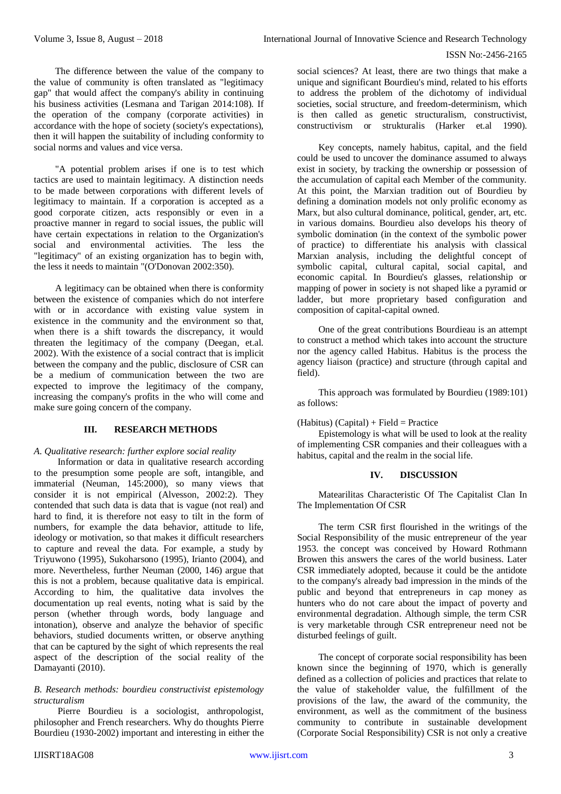The difference between the value of the company to the value of community is often translated as "legitimacy gap" that would affect the company's ability in continuing his business activities (Lesmana and Tarigan 2014:108). If the operation of the company (corporate activities) in accordance with the hope of society (society's expectations), then it will happen the suitability of including conformity to social norms and values and vice versa.

"A potential problem arises if one is to test which tactics are used to maintain legitimacy. A distinction needs to be made between corporations with different levels of legitimacy to maintain. If a corporation is accepted as a good corporate citizen, acts responsibly or even in a proactive manner in regard to social issues, the public will have certain expectations in relation to the Organization's social and environmental activities. The less the "legitimacy" of an existing organization has to begin with, the less it needs to maintain "(O'Donovan 2002:350).

A legitimacy can be obtained when there is conformity between the existence of companies which do not interfere with or in accordance with existing value system in existence in the community and the environment so that, when there is a shift towards the discrepancy, it would threaten the legitimacy of the company (Deegan, et.al. 2002). With the existence of a social contract that is implicit between the company and the public, disclosure of CSR can be a medium of communication between the two are expected to improve the legitimacy of the company, increasing the company's profits in the who will come and make sure going concern of the company.

# **III. RESEARCH METHODS**

### *A. Qualitative research: further explore social reality*

 Information or data in qualitative research according to the presumption some people are soft, intangible, and immaterial (Neuman, 145:2000), so many views that consider it is not empirical (Alvesson, 2002:2). They contended that such data is data that is vague (not real) and hard to find, it is therefore not easy to tilt in the form of numbers, for example the data behavior, attitude to life, ideology or motivation, so that makes it difficult researchers to capture and reveal the data. For example, a study by Triyuwono (1995), Sukoharsono (1995), Irianto (2004), and more. Nevertheless, further Neuman (2000, 146) argue that this is not a problem, because qualitative data is empirical. According to him, the qualitative data involves the documentation up real events, noting what is said by the person (whether through words, body language and intonation), observe and analyze the behavior of specific behaviors, studied documents written, or observe anything that can be captured by the sight of which represents the real aspect of the description of the social reality of the Damayanti (2010).

### *B. Research methods: bourdieu constructivist epistemology structuralism*

Pierre Bourdieu is a sociologist, anthropologist, philosopher and French researchers. Why do thoughts Pierre Bourdieu (1930-2002) important and interesting in either the

social sciences? At least, there are two things that make a unique and significant Bourdieu's mind, related to his efforts to address the problem of the dichotomy of individual societies, social structure, and freedom-determinism, which is then called as genetic structuralism, constructivist, constructivism or strukturalis (Harker [et.al](https://ssl.microsofttranslator.com/bv.aspx?from=&to=en&a=et.al) 1990).

Key concepts, namely habitus, capital, and the field could be used to uncover the dominance assumed to always exist in society, by tracking the ownership or possession of the accumulation of capital each Member of the community. At this point, the Marxian tradition out of Bourdieu by defining a domination models not only prolific economy as Marx, but also cultural dominance, political, gender, art, etc. in various domains. Bourdieu also develops his theory of symbolic domination (in the context of the symbolic power of practice) to differentiate his analysis with classical Marxian analysis, including the delightful concept of symbolic capital, cultural capital, social capital, and economic capital. In Bourdieu's glasses, relationship or mapping of power in society is not shaped like a pyramid or ladder, but more proprietary based configuration and composition of capital-capital owned.

One of the great contributions Bourdieau is an attempt to construct a method which takes into account the structure nor the agency called Habitus. Habitus is the process the agency liaison (practice) and structure (through capital and field).

This approach was formulated by Bourdieu (1989:101) as follows:

### $(Habitus)$  (Capital) + Field = Practice

Epistemology is what will be used to look at the reality of implementing CSR companies and their colleagues with a habitus, capital and the realm in the social life.

### **IV. DISCUSSION**

Matearilitas Characteristic Of The Capitalist Clan In The Implementation Of CSR

The term CSR first flourished in the writings of the Social Responsibility of the music entrepreneur of the year 1953. the concept was conceived by Howard Rothmann Browen this answers the cares of the world business. Later CSR immediately adopted, because it could be the antidote to the company's already bad impression in the minds of the public and beyond that entrepreneurs in cap money as hunters who do not care about the impact of poverty and environmental degradation. Although simple, the term CSR is very marketable through CSR entrepreneur need not be disturbed feelings of guilt.

The concept of corporate social responsibility has been known since the beginning of 1970, which is generally defined as a collection of policies and practices that relate to the value of stakeholder value, the fulfillment of the provisions of the law, the award of the community, the environment, as well as the commitment of the business community to contribute in sustainable development (Corporate Social Responsibility) CSR is not only a creative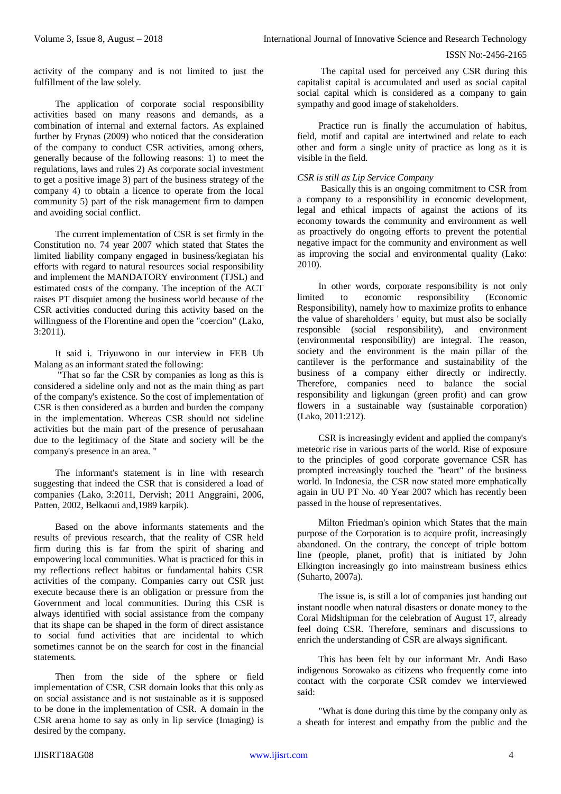activity of the company and is not limited to just the fulfillment of the law solely.

The application of corporate social responsibility activities based on many reasons and demands, as a combination of internal and external factors. As explained further by Frynas (2009) who noticed that the consideration of the company to conduct CSR activities, among others, generally because of the following reasons: 1) to meet the regulations, laws and rules 2) As corporate social investment to get a positive image 3) part of the business strategy of the company 4) to obtain a licence to operate from the local community 5) part of the risk management firm to dampen and avoiding social conflict.

The current implementation of CSR is set firmly in the Constitution no. 74 year 2007 which stated that States the limited liability company engaged in business/kegiatan his efforts with regard to natural resources social responsibility and implement the MANDATORY environment (TJSL) and estimated costs of the company. The inception of the ACT raises PT disquiet among the business world because of the CSR activities conducted during this activity based on the willingness of the Florentine and open the "coercion" (Lako, 3:2011).

It said i. Triyuwono in our interview in FEB Ub Malang as an informant stated the following:

"That so far the CSR by companies as long as this is considered a sideline only and not as the main thing as part of the company's existence. So the cost of implementation of CSR is then considered as a burden and burden the company in the implementation. Whereas CSR should not sideline activities but the main part of the presence of perusahaan due to the legitimacy of the State and society will be the company's presence in an area. "

The informant's statement is in line with research suggesting that indeed the CSR that is considered a load of companies (Lako, 3:2011, Dervish; 2011 Anggraini, 2006, Patten, 2002, Belkaoui and,1989 karpik).

Based on the above informants statements and the results of previous research, that the reality of CSR held firm during this is far from the spirit of sharing and empowering local communities. What is practiced for this in my reflections reflect habitus or fundamental habits CSR activities of the company. Companies carry out CSR just execute because there is an obligation or pressure from the Government and local communities. During this CSR is always identified with social assistance from the company that its shape can be shaped in the form of direct assistance to social fund activities that are incidental to which sometimes cannot be on the search for cost in the financial statements.

Then from the side of the sphere or field implementation of CSR, CSR domain looks that this only as on social assistance and is not sustainable as it is supposed to be done in the implementation of CSR. A domain in the CSR arena home to say as only in lip service (Imaging) is desired by the company.

 The capital used for perceived any CSR during this capitalist capital is accumulated and used as social capital social capital which is considered as a company to gain sympathy and good image of stakeholders.

Practice run is finally the accumulation of habitus, field, motif and capital are intertwined and relate to each other and form a single unity of practice as long as it is visible in the field.

### *CSR is still as Lip Service Company*

 Basically this is an ongoing commitment to CSR from a company to a responsibility in economic development, legal and ethical impacts of against the actions of its economy towards the community and environment as well as proactively do ongoing efforts to prevent the potential negative impact for the community and environment as well as improving the social and environmental quality (Lako: 2010).

In other words, corporate responsibility is not only limited to economic responsibility (Economic Responsibility), namely how to maximize profits to enhance the value of shareholders ' equity, but must also be socially responsible (social responsibility), and environment (environmental responsibility) are integral. The reason, society and the environment is the main pillar of the cantilever is the performance and sustainability of the business of a company either directly or indirectly. Therefore, companies need to balance the social responsibility and ligkungan (green profit) and can grow flowers in a sustainable way (sustainable corporation) (Lako, 2011:212).

CSR is increasingly evident and applied the company's meteoric rise in various parts of the world. Rise of exposure to the principles of good corporate governance CSR has prompted increasingly touched the "heart" of the business world. In Indonesia, the CSR now stated more emphatically again in UU PT No. 40 Year 2007 which has recently been passed in the house of representatives. Î

Milton Friedman's opinion which States that the main purpose of the Corporation is to acquire profit, increasingly abandoned. On the contrary, the concept of triple bottom line (people, planet, profit) that is initiated by John Elkington increasingly go into mainstream business ethics (Suharto, 2007a).

The issue is, is still a lot of companies just handing out instant noodle when natural disasters or donate money to the Coral Midshipman for the celebration of August 17, already feel doing CSR. Therefore, seminars and discussions to enrich the understanding of CSR are always significant.

This has been felt by our informant Mr. Andi Baso indigenous Sorowako as citizens who frequently come into contact with the corporate CSR comdev we interviewed said:

"What is done during this time by the company only as a sheath for interest and empathy from the public and the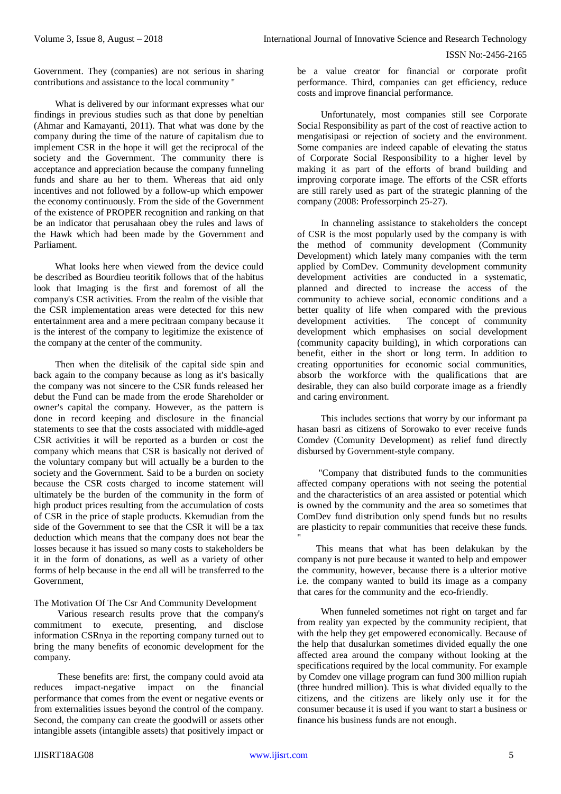Government. They (companies) are not serious in sharing contributions and assistance to the local community "

What is delivered by our informant expresses what our findings in previous studies such as that done by peneltian (Ahmar and Kamayanti, 2011). That what was done by the company during the time of the nature of capitalism due to implement CSR in the hope it will get the reciprocal of the society and the Government. The community there is acceptance and appreciation because the company funneling funds and share au her to them. Whereas that aid only incentives and not followed by a follow-up which empower the economy continuously. From the side of the Government of the existence of PROPER recognition and ranking on that be an indicator that perusahaan obey the rules and laws of the Hawk which had been made by the Government and Parliament.

What looks here when viewed from the device could be described as Bourdieu teoritik follows that of the habitus look that Imaging is the first and foremost of all the company's CSR activities. From the realm of the visible that the CSR implementation areas were detected for this new entertainment area and a mere pecitraan company because it is the interest of the company to legitimize the existence of the company at the center of the community.

Then when the ditelisik of the capital side spin and back again to the company because as long as it's basically the company was not sincere to the CSR funds released her debut the Fund can be made from the erode Shareholder or owner's capital the company. However, as the pattern is done in record keeping and disclosure in the financial statements to see that the costs associated with middle-aged CSR activities it will be reported as a burden or cost the company which means that CSR is basically not derived of the voluntary company but will actually be a burden to the society and the Government. Said to be a burden on society because the CSR costs charged to income statement will ultimately be the burden of the community in the form of high product prices resulting from the accumulation of costs of CSR in the price of staple products. Kkemudian from the side of the Government to see that the CSR it will be a tax deduction which means that the company does not bear the losses because it has issued so many costs to stakeholders be it in the form of donations, as well as a variety of other forms of help because in the end all will be transferred to the Government,

### The Motivation Of The Csr And Community Development

 Various research results prove that the company's commitment to execute, presenting, and disclose information CSRnya in the reporting company turned out to bring the many benefits of economic development for the company.

 These benefits are: first, the company could avoid ata reduces impact-negative impact on the financial performance that comes from the event or negative events or from externalities issues beyond the control of the company. Second, the company can create the goodwill or assets other intangible assets (intangible assets) that positively impact or

be a value creator for financial or corporate profit performance. Third, companies can get efficiency, reduce costs and improve financial performance.

 Unfortunately, most companies still see Corporate Social Responsibility as part of the cost of reactive action to mengatisipasi or rejection of society and the environment. Some companies are indeed capable of elevating the status of Corporate Social Responsibility to a higher level by making it as part of the efforts of brand building and improving corporate image. The efforts of the CSR efforts are still rarely used as part of the strategic planning of the company (2008: Professorpinch 25-27).

 In channeling assistance to stakeholders the concept of CSR is the most popularly used by the company is with the method of community development (Community Development) which lately many companies with the term applied by ComDev. Community development community development activities are conducted in a systematic, planned and directed to increase the access of the community to achieve social, economic conditions and a better quality of life when compared with the previous development activities. The concept of community development which emphasises on social development (community capacity building), in which corporations can benefit, either in the short or long term. In addition to creating opportunities for economic social communities, absorb the workforce with the qualifications that are desirable, they can also build corporate image as a friendly and caring environment.

 This includes sections that worry by our informant pa hasan basri as citizens of Sorowako to ever receive funds Comdev (Comunity Development) as relief fund directly disbursed by Government-style company.

"Company that distributed funds to the communities affected company operations with not seeing the potential and the characteristics of an area assisted or potential which is owned by the community and the area so sometimes that ComDev fund distribution only spend funds but no results are plasticity to repair communities that receive these funds. "

 This means that what has been delakukan by the company is not pure because it wanted to help and empower the community, however, because there is a ulterior motive i.e. the company wanted to build its image as a company that cares for the community and the eco-friendly.

 When funneled sometimes not right on target and far from reality yan expected by the community recipient, that with the help they get empowered economically. Because of the help that dusalurkan sometimes divided equally the one affected area around the company without looking at the specifications required by the local community. For example by Comdev one village program can fund 300 million rupiah (three hundred million). This is what divided equally to the citizens, and the citizens are likely only use it for the consumer because it is used if you want to start a business or finance his business funds are not enough.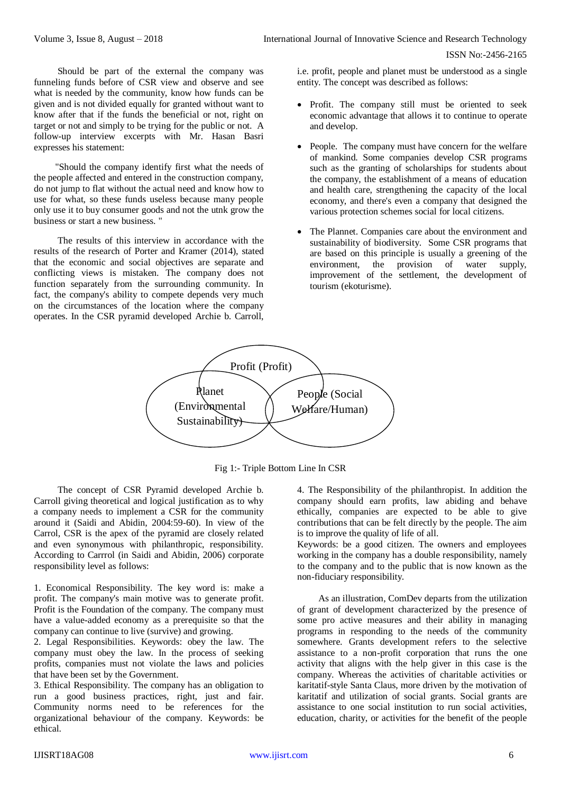Should be part of the external the company was funneling funds before of CSR view and observe and see what is needed by the community, know how funds can be given and is not divided equally for granted without want to know after that if the funds the beneficial or not, right on target or not and simply to be trying for the public or not. A follow-up interview excerpts with Mr. Hasan Basri expresses his statement:

"Should the company identify first what the needs of the people affected and entered in the construction company, do not jump to flat without the actual need and know how to use for what, so these funds useless because many people only use it to buy consumer goods and not the utnk grow the business or start a new business. "

 The results of this interview in accordance with the results of the research of Porter and Kramer (2014), stated that the economic and social objectives are separate and conflicting views is mistaken. The company does not function separately from the surrounding community. In fact, the company's ability to compete depends very much on the circumstances of the location where the company operates. In the CSR pyramid developed Archie b. Carroll, i.e. profit, people and planet must be understood as a single entity. The concept was described as follows:

- Profit. The company still must be oriented to seek economic advantage that allows it to continue to operate and develop.
- People. The company must have concern for the welfare of mankind. Some companies develop CSR programs such as the granting of scholarships for students about the company, the establishment of a means of education and health care, strengthening the capacity of the local economy, and there's even a company that designed the various protection schemes social for local citizens.
- The Plannet. Companies care about the environment and sustainability of biodiversity. Some CSR programs that are based on this principle is usually a greening of the environment, the provision of water supply, improvement of the settlement, the development of tourism (ekoturisme).



Fig 1:- Triple Bottom Line In CSR

 The concept of CSR Pyramid developed Archie b. Carroll giving theoretical and logical justification as to why a company needs to implement a CSR for the community around it (Saidi and Abidin, 2004:59-60). In view of the Carrol, CSR is the apex of the pyramid are closely related and even synonymous with philanthropic, responsibility. According to Carrrol (in Saidi and Abidin, 2006) corporate responsibility level as follows:

1. Economical Responsibility. The key word is: make a profit. The company's main motive was to generate profit. Profit is the Foundation of the company. The company must have a value-added economy as a prerequisite so that the company can continue to live (survive) and growing.

2. Legal Responsibilities. Keywords: obey the law. The company must obey the law. In the process of seeking profits, companies must not violate the laws and policies that have been set by the Government.

3. Ethical Responsibility. The company has an obligation to run a good business practices, right, just and fair. Community norms need to be references for the organizational behaviour of the company. Keywords: be ethical.

4. The Responsibility of the philanthropist. In addition the company should earn profits, law abiding and behave ethically, companies are expected to be able to give contributions that can be felt directly by the people. The aim is to improve the quality of life of all.

Keywords: be a good citizen. The owners and employees working in the company has a double responsibility, namely to the company and to the public that is now known as the non-fiduciary responsibility.

As an illustration, ComDev departs from the utilization of grant of development characterized by the presence of some pro active measures and their ability in managing programs in responding to the needs of the community somewhere. Grants development refers to the selective assistance to a non-profit corporation that runs the one activity that aligns with the help giver in this case is the company. Whereas the activities of charitable activities or karitatif-style Santa Claus, more driven by the motivation of karitatif and utilization of social grants. Social grants are assistance to one social institution to run social activities, education, charity, or activities for the benefit of the people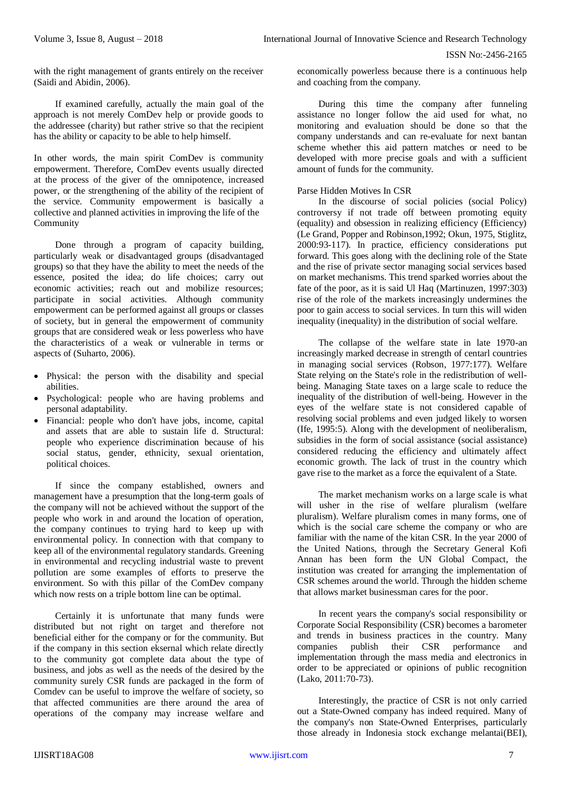with the right management of grants entirely on the receiver (Saidi and Abidin, 2006).

If examined carefully, actually the main goal of the approach is not merely ComDev help or provide goods to the addressee (charity) but rather strive so that the recipient has the ability or capacity to be able to help himself.

In other words, the main spirit ComDev is community empowerment. Therefore, ComDev events usually directed at the process of the giver of the omnipotence, increased power, or the strengthening of the ability of the recipient of the service. Community empowerment is basically a collective and planned activities in improving the life of the Community

Done through a program of capacity building, particularly weak or disadvantaged groups (disadvantaged groups) so that they have the ability to meet the needs of the essence, posited the idea; do life choices; carry out economic activities; reach out and mobilize resources; participate in social activities. Although community empowerment can be performed against all groups or classes of society, but in general the empowerment of community groups that are considered weak or less powerless who have the characteristics of a weak or vulnerable in terms or aspects of (Suharto, 2006).

- Physical: the person with the disability and special abilities.
- Psychological: people who are having problems and personal adaptability.
- Financial: people who don't have jobs, income, capital and assets that are able to sustain life d. Structural: people who experience discrimination because of his social status, gender, ethnicity, sexual orientation, political choices.

If since the company established, owners and management have a presumption that the long-term goals of the company will not be achieved without the support of the people who work in and around the location of operation, the company continues to trying hard to keep up with environmental policy. In connection with that company to keep all of the environmental regulatory standards. Greening in environmental and recycling industrial waste to prevent pollution are some examples of efforts to preserve the environment. So with this pillar of the ComDev company which now rests on a triple bottom line can be optimal.

Certainly it is unfortunate that many funds were distributed but not right on target and therefore not beneficial either for the company or for the community. But if the company in this section eksernal which relate directly to the community got complete data about the type of business, and jobs as well as the needs of the desired by the community surely CSR funds are packaged in the form of Comdev can be useful to improve the welfare of society, so that affected communities are there around the area of operations of the company may increase welfare and economically powerless because there is a continuous help and coaching from the company.

During this time the company after funneling assistance no longer follow the aid used for what, no monitoring and evaluation should be done so that the company understands and can re-evaluate for next bantan scheme whether this aid pattern matches or need to be developed with more precise goals and with a sufficient amount of funds for the community.

### Parse Hidden Motives In CSR

In the discourse of social policies (social Policy) controversy if not trade off between promoting equity (equality) and obsession in realizing efficiency (Efficiency) (Le Grand, Popper and Robinson,1992; Okun, 1975, Stiglitz, 2000:93-117). In practice, efficiency considerations put forward. This goes along with the declining role of the State and the rise of private sector managing social services based on market mechanisms. This trend sparked worries about the fate of the poor, as it is said Ul Haq (Martinuzen, 1997:303) rise of the role of the markets increasingly undermines the poor to gain access to social services. In turn this will widen inequality (inequality) in the distribution of social welfare.

The collapse of the welfare state in late 1970-an increasingly marked decrease in strength of centarl countries in managing social services (Robson, 1977:177). Welfare State relying on the State's role in the redistribution of wellbeing. Managing State taxes on a large scale to reduce the inequality of the distribution of well-being. However in the eyes of the welfare state is not considered capable of resolving social problems and even judged likely to worsen (Ife, 1995:5). Along with the development of neoliberalism, subsidies in the form of social assistance (social assistance) considered reducing the efficiency and ultimately affect economic growth. The lack of trust in the country which gave rise to the market as a force the equivalent of a State.

The market mechanism works on a large scale is what will usher in the rise of welfare pluralism (welfare pluralism). Welfare pluralism comes in many forms, one of which is the social care scheme the company or who are familiar with the name of the kitan CSR. In the year 2000 of the United Nations, through the Secretary General Kofi Annan has been form the UN Global Compact, the institution was created for arranging the implementation of CSR schemes around the world. Through the hidden scheme that allows market businessman cares for the poor.

In recent years the company's social responsibility or Corporate Social Responsibility (CSR) becomes a barometer and trends in business practices in the country. Many companies publish their CSR performance and implementation through the mass media and electronics in order to be appreciated or opinions of public recognition (Lako, 2011:70-73).

Interestingly, the practice of CSR is not only carried out a State-Owned company has indeed required. Many of the company's non State-Owned Enterprises, particularly those already in Indonesia stock exchange melantai(BEI),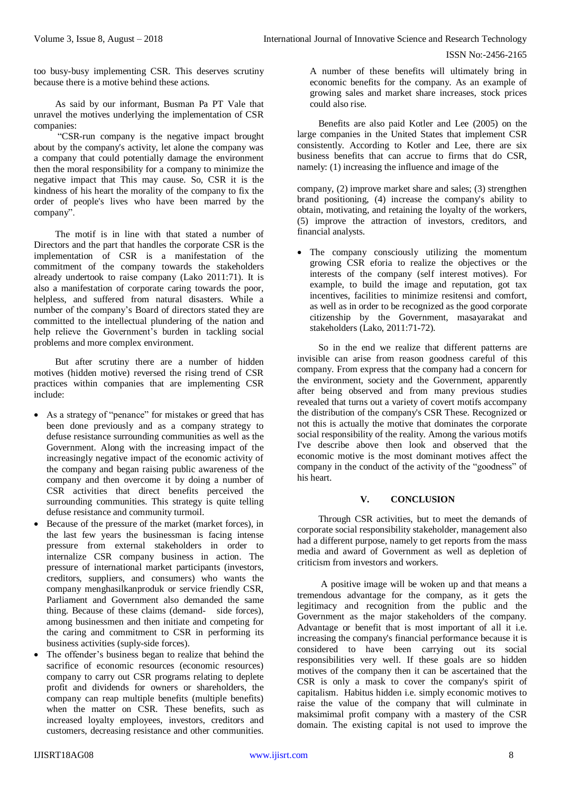too busy-busy implementing CSR. This deserves scrutiny because there is a motive behind these actions.

As said by our informant, Busman Pa PT Vale that unravel the motives underlying the implementation of CSR companies:

"CSR-run company is the negative impact brought about by the company's activity, let alone the company was a company that could potentially damage the environment then the moral responsibility for a company to minimize the negative impact that This may cause. So, CSR it is the kindness of his heart the morality of the company to fix the order of people's lives who have been marred by the company".

The motif is in line with that stated a number of Directors and the part that handles the corporate CSR is the implementation of CSR is a manifestation of the commitment of the company towards the stakeholders already undertook to raise company (Lako 2011:71). It is also a manifestation of corporate caring towards the poor, helpless, and suffered from natural disasters. While a number of the company's Board of directors stated they are committed to the intellectual plundering of the nation and help relieve the Government's burden in tackling social problems and more complex environment.

But after scrutiny there are a number of hidden motives (hidden motive) reversed the rising trend of CSR practices within companies that are implementing CSR include:

- As a strategy of "penance" for mistakes or greed that has been done previously and as a company strategy to defuse resistance surrounding communities as well as the Government. Along with the increasing impact of the increasingly negative impact of the economic activity of the company and began raising public awareness of the company and then overcome it by doing a number of CSR activities that direct benefits perceived the surrounding communities. This strategy is quite telling defuse resistance and community turmoil.
- Because of the pressure of the market (market forces), in the last few years the businessman is facing intense pressure from external stakeholders in order to internalize CSR company business in action. The pressure of international market participants (investors, creditors, suppliers, and consumers) who wants the company menghasilkanproduk or service friendly CSR, Parliament and Government also demanded the same thing. Because of these claims (demand- side forces), among businessmen and then initiate and competing for the caring and commitment to CSR in performing its business activities (suply-side forces).
- The offender's business began to realize that behind the sacrifice of economic resources (economic resources) company to carry out CSR programs relating to deplete profit and dividends for owners or shareholders, the company can reap multiple benefits (multiple benefits) when the matter on CSR. These benefits, such as increased loyalty employees, investors, creditors and customers, decreasing resistance and other communities.

A number of these benefits will ultimately bring in economic benefits for the company. As an example of growing sales and market share increases, stock prices could also rise.

Benefits are also paid Kotler and Lee (2005) on the large companies in the United States that implement CSR consistently. According to Kotler and Lee, there are six business benefits that can accrue to firms that do CSR, namely: (1) increasing the influence and image of the

company, (2) improve market share and sales; (3) strengthen brand positioning, (4) increase the company's ability to obtain, motivating, and retaining the loyalty of the workers, (5) improve the attraction of investors, creditors, and financial analysts.

 The company consciously utilizing the momentum growing CSR eforia to realize the objectives or the interests of the company (self interest motives). For example, to build the image and reputation, got tax incentives, facilities to minimize resitensi and comfort, as well as in order to be recognized as the good corporate citizenship by the Government, masayarakat and stakeholders (Lako, 2011:71-72).

So in the end we realize that different patterns are invisible can arise from reason goodness careful of this company. From express that the company had a concern for the environment, society and the Government, apparently after being observed and from many previous studies revealed that turns out a variety of covert motifs accompany the distribution of the company's CSR These. Recognized or not this is actually the motive that dominates the corporate social responsibility of the reality. Among the various motifs I've describe above then look and observed that the economic motive is the most dominant motives affect the company in the conduct of the activity of the "goodness" of his heart.

### **V. CONCLUSION**

 Through CSR activities, but to meet the demands of corporate social responsibility stakeholder, management also had a different purpose, namely to get reports from the mass media and award of Government as well as depletion of criticism from investors and workers.

 A positive image will be woken up and that means a tremendous advantage for the company, as it gets the legitimacy and recognition from the public and the Government as the major stakeholders of the company. Advantage or benefit that is most important of all it i.e. increasing the company's financial performance because it is considered to have been carrying out its social responsibilities very well. If these goals are so hidden motives of the company then it can be ascertained that the CSR is only a mask to cover the company's spirit of capitalism. Habitus hidden i.e. simply economic motives to raise the value of the company that will culminate in maksimimal profit company with a mastery of the CSR domain. The existing capital is not used to improve the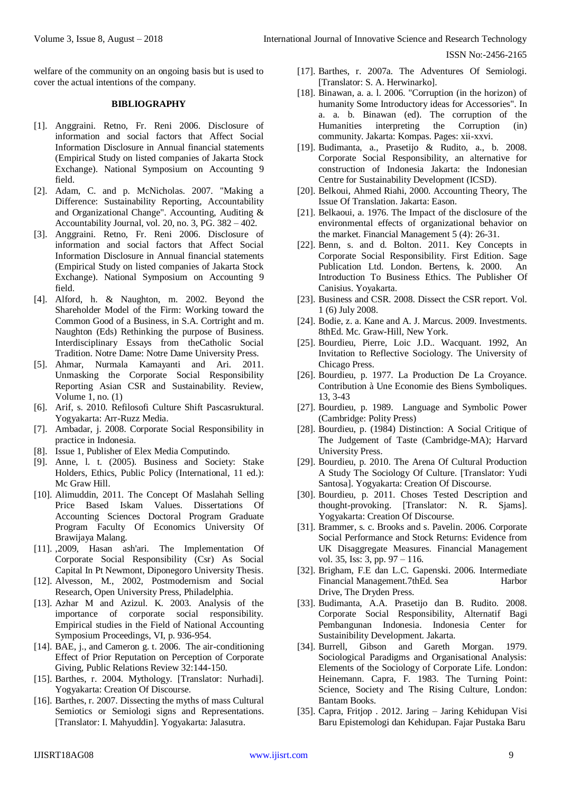welfare of the community on an ongoing basis but is used to cover the actual intentions of the company.

## **BIBLIOGRAPHY**

- [1]. Anggraini. Retno, Fr. Reni 2006. Disclosure of information and social factors that Affect Social Information Disclosure in Annual financial statements (Empirical Study on listed companies of Jakarta Stock Exchange). National Symposium on Accounting 9 field.
- [2]. Adam, C. and p. McNicholas. 2007. "Making a Difference: Sustainability Reporting, Accountability and Organizational Change". Accounting, Auditing & Accountability Journal, vol. 20, no. 3, PG. 382 – 402.
- [3]. Anggraini. Retno, Fr. Reni 2006. Disclosure of information and social factors that Affect Social Information Disclosure in Annual financial statements (Empirical Study on listed companies of Jakarta Stock Exchange). National Symposium on Accounting 9 field.
- [4]. Alford, h. & Naughton, m. 2002. Beyond the Shareholder Model of the Firm: Working toward the Common Good of a Business, in S.A. Cortright and m. Naughton (Eds) Rethinking the purpose of Business. Interdisciplinary Essays from theCatholic Social Tradition. Notre Dame: Notre Dame University Press.
- [5]. Ahmar, Nurmala Kamayanti and Ari. 2011. Unmasking the Corporate Social Responsibility Reporting Asian CSR and Sustainability. Review, Volume 1, no. (1)
- [6]. Arif, s. 2010. Refilosofi Culture Shift Pascasruktural. Yogyakarta: Arr-Ruzz Media.
- [7]. Ambadar, j. 2008. Corporate Social Responsibility in practice in Indonesia.
- [8]. Issue 1, Publisher of Elex Media Computindo.
- [9]. Anne, l. t. (2005). Business and Society: Stake Holders, Ethics, Public Policy (International, 11 ed.): Mc Graw Hill.
- [10]. Alimuddin, 2011. The Concept Of Maslahah Selling Price Based Iskam Values. Dissertations Of Accounting Sciences Doctoral Program Graduate Program Faculty Of Economics University Of Brawijaya Malang.
- [11]. ,2009, Hasan ash'ari. The Implementation Of Corporate Social Responsibility (Csr) As Social Capital In Pt Newmont, Diponegoro University Thesis.
- [12]. Alvesson, M., 2002, Postmodernism and Social Research, Open University Press, Philadelphia.
- [13]. Azhar M and Azizul. K. 2003. Analysis of the importance of corporate social responsibility. Empirical studies in the Field of National Accounting Symposium Proceedings, VI, p. 936-954.
- [14]. BAE, j., and Cameron g. t. 2006. The air-conditioning Effect of Prior Reputation on Perception of Corporate Giving, Public Relations Review 32:144-150.
- [15]. Barthes, r. 2004. Mythology. [Translator: Nurhadi]. Yogyakarta: Creation Of Discourse.
- [16]. Barthes, r. 2007. Dissecting the myths of mass Cultural Semiotics or Semiologi signs and Representations. [Translator: I. Mahyuddin]. Yogyakarta: Jalasutra.
- [17]. Barthes, r. 2007a. The Adventures Of Semiologi. [Translator: S. A. Herwinarko].
- [18]. Binawan, a. a. l. 2006. "Corruption (in the horizon) of humanity Some Introductory ideas for Accessories". In a. a. b. Binawan (ed). The corruption of the Humanities interpreting the Corruption (in) community. Jakarta: Kompas. Pages: xii-xxvi.
- [19]. Budimanta, a., Prasetijo & Rudito, a., b. 2008. Corporate Social Responsibility, an alternative for construction of Indonesia Jakarta: the Indonesian Centre for Sustainability Development (ICSD).
- [20]. Belkoui, Ahmed Riahi, 2000. Accounting Theory, The Issue Of Translation. Jakarta: Eason.
- [21]. Belkaoui, a. 1976. The Impact of the disclosure of the environmental effects of organizational behavior on the market. Financial Management 5 (4): 26-31.
- [22]. Benn, s. and d. Bolton. 2011. Key Concepts in Corporate Social Responsibility. First Edition. Sage Publication Ltd. London. Bertens, k. 2000. An Introduction To Business Ethics. The Publisher Of Canisius. Yoyakarta.
- [23]. Business and CSR. 2008. Dissect the CSR report. Vol. 1 (6) July 2008.
- [24]. Bodie, z. a. Kane and A. J. Marcus. 2009. Investments. 8thEd. Mc. Graw-Hill, New York.
- [25]. Bourdieu, Pierre, Loic J.D.. Wacquant. 1992, An Invitation to Reflective Sociology. The University of Chicago Press.
- [26]. Bourdieu, p. 1977. La Production De La Croyance. Contribution à Une Economie des Biens Symboliques. 13, 3-43
- [27]. Bourdieu, p. 1989. Language and Symbolic Power (Cambridge: Polity Press)
- [28]. Bourdieu, p. (1984) Distinction: A Social Critique of The Judgement of Taste (Cambridge-MA); Harvard University Press.
- [29]. Bourdieu, p. 2010. The Arena Of Cultural Production A Study The Sociology Of Culture. [Translator: Yudi Santosa]. Yogyakarta: Creation Of Discourse.
- [30]. Bourdieu, p. 2011. Choses Tested Description and thought-provoking. [Translator: N. R. Sjams]. Yogyakarta: Creation Of Discourse.
- [31]. Brammer, s. c. Brooks and s. Pavelin. 2006. Corporate Social Performance and Stock Returns: Evidence from UK Disaggregate Measures. Financial Management vol. 35, Iss: 3, pp. 97 – 116.
- [32]. Brigham, F.E dan L.C. Gapenski. 2006. Intermediate Financial Management.7thEd. Sea Harbor Drive, The Dryden Press.
- [33]. Budimanta, A.A. Prasetijo dan B. Rudito. 2008. Corporate Social Responsibility, Alternatif Bagi Pembangunan Indonesia. Indonesia Center for Sustainibility Development. Jakarta.
- [34]. Burrell, Gibson and Gareth Morgan. 1979. Sociological Paradigms and Organisational Analysis: Elements of the Sociology of Corporate Life. London: Heinemann. Capra, F. 1983. The Turning Point: Science, Society and The Rising Culture, London: Bantam Books.
- [35]. Capra, Fritjop . 2012. Jaring Jaring Kehidupan Visi Baru Epistemologi dan Kehidupan. Fajar Pustaka Baru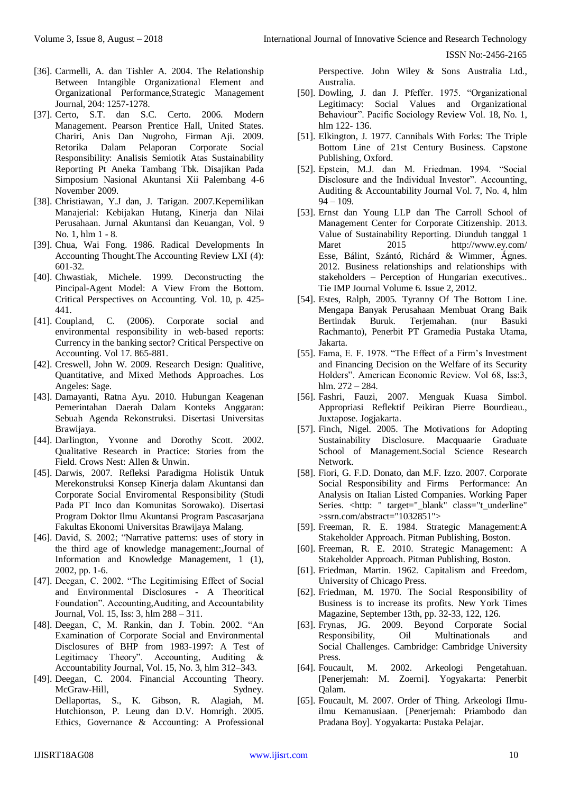- [36]. Carmelli, A. dan Tishler A. 2004. The Relationship Between Intangible Organizational Element and Organizational Performance,Strategic Management Journal, 204: 1257-1278.
- [37]. Certo, S.T. dan S.C. Certo. 2006. Modern Management. Pearson Prentice Hall, United States. Chariri, Anis Dan Nugroho, Firman Aji. 2009. Retorika Dalam Pelaporan Corporate Social Responsibility: Analisis Semiotik Atas Sustainability Reporting Pt Aneka Tambang Tbk. Disajikan Pada Simposium Nasional Akuntansi Xii Palembang 4-6 November 2009.
- [38]. Christiawan, Y.J dan, J. Tarigan. 2007.Kepemilikan Manajerial: Kebijakan Hutang, Kinerja dan Nilai [Perusahaan.](https://ssl.microsofttranslator.com/bv.aspx?from=&to=en&a=Perusahaan.Jurnal) Jurnal Akuntansi dan Keuangan, Vol. 9 No. 1, hlm 1 - 8.
- [39]. Chua, Wai Fong. 1986. Radical Developments In Accounting [Thought.The](https://ssl.microsofttranslator.com/bv.aspx?from=&to=en&a=Thought.The) Accounting Review LXI (4): 601-32.
- [40]. Chwastiak, Michele. 1999. Deconstructing the Pincipal-Agent Model: A View From the Bottom. Critical Perspectives on Accounting. Vol. 10, p. 425- 441.
- [41]. Coupland, C. (2006). Corporate social and environmental responsibility in web-based reports: Currency in the banking sector? Critical Perspective on Accounting. Vol 17. 865-881.
- [42]. Creswell, John W. 2009. Research Design: Qualitive, Quantitative, and Mixed Methods Approaches. Los Angeles: Sage.
- [43]. Damayanti, Ratna Ayu. 2010. Hubungan Keagenan Pemerintahan Daerah Dalam Konteks Anggaran: Sebuah Agenda Rekonstruksi. Disertasi Universitas Brawijaya.
- [44]. Darlington, Yvonne and Dorothy Scott. 2002. Qualitative Research in Practice: Stories from the Field. Crows Nest: Allen & Unwin.
- [45]. Darwis, 2007. Refleksi Paradigma Holistik Untuk Merekonstruksi Konsep Kinerja dalam Akuntansi dan Corporate Social Enviromental Responsibility (Studi Pada PT Inco dan Komunitas Sorowako). Disertasi Program Doktor Ilmu Akuntansi Program Pascasarjana Fakultas Ekonomi Universitas Brawijaya Malang.
- [46]. David, S. 2002; "Narrative patterns: uses of story in the third age of knowledge management:,Journal of Information and Knowledge Management, 1 (1), 2002, pp. 1-6.
- [47]. Deegan, C. 2002. "The Legitimising Effect of Social and Environmental Disclosures - A Theoritical Foundation". Accounting,Auditing, and Accountability Journal, Vol. 15, Iss: 3, hlm 288 – 311.
- [48]. Deegan, C, M. Rankin, dan J. Tobin. 2002. "An Examination of Corporate Social and Environmental Disclosures of BHP from 1983-1997: A Test of Legitimacy Theory". Accounting, Auditing & Accountability Journal, Vol. 15, No. 3, hlm 312–343.
- [49]. Deegan, C. 2004. Financial Accounting Theory. McGraw-Hill, Sydney. Dellaportas, S., K. Gibson, R. Alagiah, M. Hutchionson, P. Leung dan D.V. Homrigh. 2005. Ethics, Governance & Accounting: A Professional

Perspective. John Wiley & Sons Australia Ltd., Australia.

- [50]. Dowling, J. dan J. Pfeffer. 1975. "Organizational Legitimacy: Social Values and Organizational Behaviour". Pacific Sociology Review Vol. 18, No. 1, hlm 122- 136.
- [51]. Elkington, J. 1977. Cannibals With Forks: The Triple Bottom Line of 21st Century Business. Capstone Publishing, Oxford.
- [52]. Epstein, M.J. dan M. Friedman. 1994. "Social Disclosure and the Individual Investor". Accounting, Auditing & Accountability Journal Vol. 7, No. 4, hlm  $94 - 109.$
- [53]. Ernst dan Young LLP dan The Carroll School of Management Center for Corporate Citizenship. 2013. Value of Sustainability Reporting. Diunduh tanggal 1<br>Maret 2015 http://www.ev.com/ 2015 [http://www.ey.com/](https://ssl.microsofttranslator.com/bv.aspx?from=&to=en&a=http://www.ey.com/) Esse, Bálint, Szántó, Richárd & Wimmer, Ágnes. 2012. Business relationships and relationships with stakeholders – Perception of Hungarian executives.. Tie IMP Journal Volume 6. Issue 2, 2012.
- [54]. Estes, Ralph, 2005. Tyranny Of The Bottom Line. Mengapa Banyak Perusahaan Membuat Orang Baik Bertindak Buruk. Terjemahan. (nur Basuki Rachmanto), Penerbit PT Gramedia Pustaka Utama, Jakarta.
- [55]. Fama, E. F. 1978. "The Effect of a Firm's Investment and Financing Decision on the Welfare of its Security Holders". American Economic Review. Vol 68, Iss:3, hlm. 272 – 284.
- [56]. Fashri, Fauzi, 2007. Menguak Kuasa Simbol. Appropriasi Reflektif Peikiran Pierre Bourdieau., Juxtapose. Jogjakarta.
- [57]. Finch, Nigel. 2005. The Motivations for Adopting Sustainability Disclosure. Macquaarie Graduate School of [Management.Social](https://ssl.microsofttranslator.com/bv.aspx?from=&to=en&a=Management.Social) Science Research Network.
- [58]. Fiori, G. F.D. Donato, dan M.F. Izzo. 2007. Corporate Social Responsibility and Firms Performance: An Analysis on Italian Listed Companies. Working Paper Series. <http: " target=" blank" class="t\_underline" [>ssrn.com/abstract="1032851">](https://ssl.microsofttranslator.com/bv.aspx?from=&to=en&a=ssrn.com/abstract=)
- [59]. Freeman, R. E. 1984. Strategic Management:A Stakeholder Approach. Pitman Publishing, Boston.
- [60]. Freeman, R. E. 2010. Strategic Management: A Stakeholder Approach. Pitman Publishing, Boston.
- [61]. Friedman, Martin. 1962. Capitalism and Freedom, University of Chicago Press.
- [62]. Friedman, M. 1970. The Social Responsibility of Business is to increase its profits. New York Times Magazine, September 13th, pp. 32-33, 122, 126.
- [63]. Frynas, JG. 2009. Beyond Corporate Social Responsibility, Oil Multinationals and Social Challenges. Cambridge: Cambridge University Press.
- [64]. Foucault, M. 2002. Arkeologi Pengetahuan. [Penerjemah: M. Zoerni]. Yogyakarta: Penerbit Qalam.
- [65]. Foucault, M. 2007. Order of Thing. Arkeologi Ilmuilmu Kemanusiaan. [Penerjemah: Priambodo dan Pradana Boy]. Yogyakarta: Pustaka Pelajar.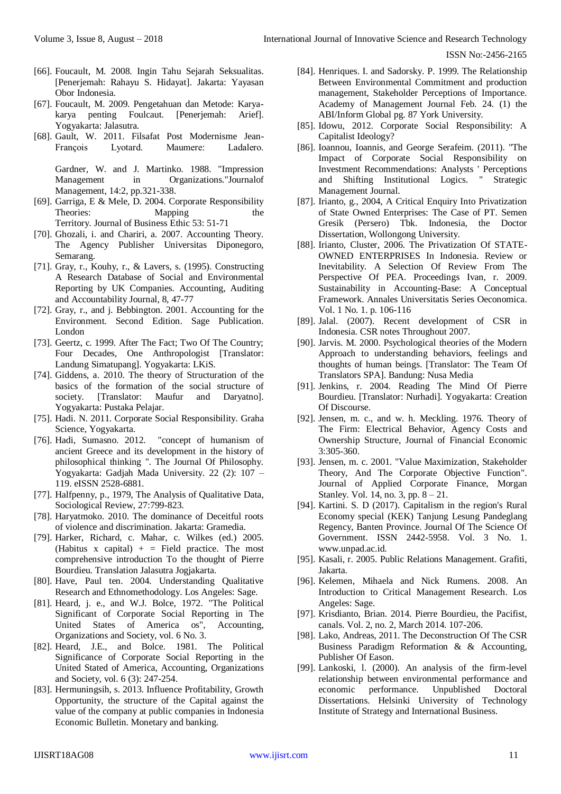- [66]. Foucault, M. 2008. Ingin Tahu Sejarah Seksualitas. [Penerjemah: Rahayu S. Hidayat]. Jakarta: Yayasan Obor Indonesia.
- [67]. Foucault, M. 2009. Pengetahuan dan Metode: Karyakarya penting Foulcaut. [Penerjemah: Arief]. Yogyakarta: Jalasutra.
- [68]. Gault, W. 2011. Filsafat Post Modernisme Jean-François Lyotard. Maumere: Ladalero.

Gardner, W. and J. Martinko. 1988. "Impression Management in Organizations."Journalof Management, 14:2, pp.321-338.

- [69]. Garriga, E & Mele, D. 2004. Corporate Responsibility Theories: Mapping the Territory. Journal of Business Ethic 53: 51-71
- [70]. Ghozali, i. and Chariri, a. 2007. Accounting Theory. The Agency Publisher Universitas Diponegoro, Semarang.
- [71]. Gray, r., Kouhy, r., & Lavers, s. (1995). Constructing A Research Database of Social and Environmental Reporting by UK Companies. Accounting, Auditing and Accountability Journal, 8, 47-77
- [72]. Gray, r., and j. Bebbington. 2001. Accounting for the Environment. Second Edition. Sage Publication. London
- [73]. Geertz, c. 1999. After The Fact; Two Of The Country; Four Decades, One Anthropologist [Translator: Landung Simatupang]. Yogyakarta: LKiS.
- [74]. Giddens, a. 2010. The theory of Structuration of the basics of the formation of the social structure of society. [Translator: Maufur and Daryatno]. Yogyakarta: Pustaka Pelajar.
- [75]. Hadi. N. 2011. Corporate Social Responsibility. Graha Science, Yogyakarta.
- [76]. Hadi, Sumasno. 2012. "concept of humanism of ancient Greece and its development in the history of philosophical thinking ". The Journal Of Philosophy. Yogyakarta: Gadjah Mada University. 22 (2): 107 – 119. eISSN 2528-6881.
- [77]. Halfpenny, p., 1979, The Analysis of Qualitative Data, Sociological Review, 27:799-823.
- [78]. Haryatmoko. 2010. The dominance of Deceitful roots of violence and discrimination. Jakarta: Gramedia.
- [79]. Harker, Richard, c. Mahar, c. Wilkes (ed.) 2005. (Habitus x capital)  $+$  = Field practice. The most comprehensive introduction To the thought of Pierre Bourdieu. Translation Jalasutra Jogjakarta.
- [80]. Have, Paul ten. 2004. Understanding Qualitative Research and Ethnomethodology. Los Angeles: Sage.
- [81]. Heard, j. e., and W.J. Bolce, 1972. "The Political Significant of Corporate Social Reporting in The United States of America os", Accounting, Organizations and Society, vol. 6 No. 3.
- [82]. Heard, J.E., and Bolce. 1981. The Political Significance of Corporate Social Reporting in the United Stated of America, Accounting, Organizations and Society, vol. 6 (3): 247-254.
- [83]. Hermuningsih, s. 2013. Influence Profitability, Growth Opportunity, the structure of the Capital against the value of the company at public companies in Indonesia Economic Bulletin. Monetary and banking.
- [84]. Henriques. I. and Sadorsky. P. 1999. The Relationship Between Environmental Commitment and production management, Stakeholder Perceptions of Importance. Academy of Management Journal Feb. 24. (1) the ABI/Inform Global pg. 87 York University.
- [85]. Idowu, 2012. Corporate Social Responsibility: A Capitalist Ideology?
- [86]. Ioannou, Ioannis, and George Serafeim. (2011). "The Impact of Corporate Social Responsibility on Investment Recommendations: Analysts ' Perceptions and Shifting Institutional Logics. " Strategic Management Journal.
- [87]. Irianto, g., 2004, A Critical Enquiry Into Privatization of State Owned Enterprises: The Case of PT. Semen Gresik (Persero) Tbk. Indonesia, the Doctor Dissertation, Wollongong University.
- [88]. Irianto, Cluster, 2006. The Privatization Of STATE-OWNED ENTERPRISES In Indonesia. Review or Inevitability. A Selection Of Review From The Perspective Of PEA. Proceedings Ivan, r. 2009. Sustainability in Accounting-Base: A Conceptual Framework. Annales Universitatis Series Oeconomica. Vol. 1 No. 1. p. 106-116
- [89]. Jalal. (2007). Recent development of CSR in Indonesia. CSR notes Throughout 2007.
- [90]. Jarvis. M. 2000. Psychological theories of the Modern Approach to understanding behaviors, feelings and thoughts of human beings. [Translator: The Team Of Translators SPA]. Bandung: Nusa Media
- [91]. Jenkins, r. 2004. Reading The Mind Of Pierre Bourdieu. [Translator: Nurhadi]. Yogyakarta: Creation Of Discourse.
- [92]. Jensen, m. c., and w. h. Meckling. 1976. Theory of The Firm: Electrical Behavior, Agency Costs and Ownership Structure, Journal of Financial Economic 3:305-360.
- [93]. Jensen, m. c. 2001. "Value Maximization, Stakeholder Theory, And The Corporate Objective Function". Journal of Applied Corporate Finance, Morgan Stanley. Vol. 14, no. 3, pp. 8 – 21.
- [94]. Kartini. S. D (2017). Capitalism in the region's Rural Economy special (KEK) Tanjung Lesung Pandeglang Regency, Banten Province. Journal Of The Science Of Government. ISSN 2442-5958. Vol. 3 No. 1. www.unpad.ac.id.
- [95]. Kasali, r. 2005. Public Relations Management. Grafiti, Jakarta.
- [96]. Kelemen, Mihaela and Nick Rumens. 2008. An Introduction to Critical Management Research. Los Angeles: Sage.
- [97]. Krisdianto, Brian. 2014. Pierre Bourdieu, the Pacifist, canals. Vol. 2, no. 2, March 2014. 107-206.
- [98]. Lako, Andreas, 2011. The Deconstruction Of The CSR Business Paradigm Reformation & & Accounting, Publisher Of Eason.
- [99]. Lankoski, l. (2000). An analysis of the firm-level relationship between environmental performance and economic performance. Unpublished Doctoral Dissertations. Helsinki University of Technology Institute of Strategy and International Business.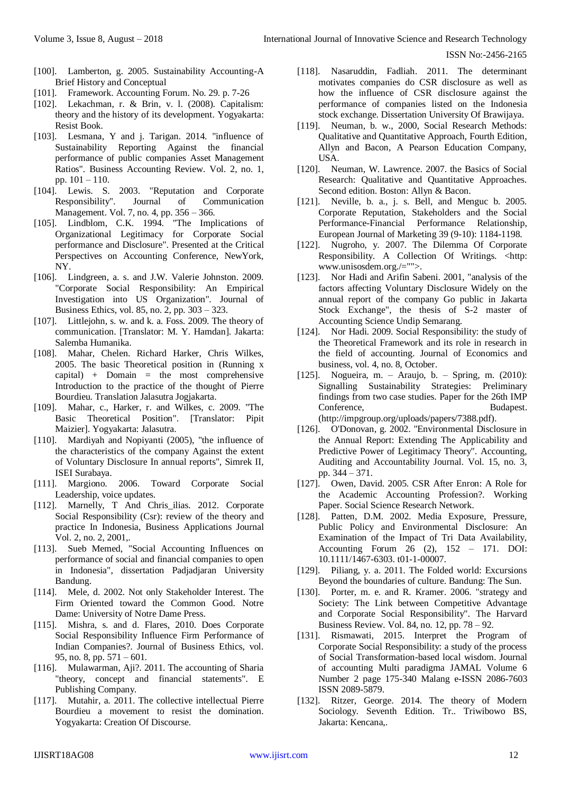- [100]. Lamberton, g. 2005. Sustainability Accounting-A Brief History and Conceptual
- [101]. Framework. Accounting Forum. No. 29. p. 7-26
- [102]. Lekachman, r. & Brin, v. l. (2008). Capitalism: theory and the history of its development. Yogyakarta: Resist Book.
- [103]. Lesmana, Y and j. Tarigan. 2014. "influence of Sustainability Reporting Against the financial performance of public companies Asset Management Ratios". Business Accounting Review. Vol. 2, no. 1, pp. 101 – 110.
- [104]. Lewis. S. 2003. "Reputation and Corporate Responsibility". Journal of Communication Management. Vol. 7, no. 4, pp. 356 – 366.
- [105]. Lindblom, C.K. 1994. "The Implications of Organizational Legitimacy for Corporate Social performance and Disclosure". Presented at the Critical Perspectives on Accounting Conference, NewYork, NY.
- [106]. Lindgreen, a. s. and J.W. Valerie Johnston. 2009. "Corporate Social Responsibility: An Empirical Investigation into US Organization". Journal of Business Ethics, vol. 85, no. 2, pp. 303 – 323.
- [107]. Littlejohn, s. w. and k. a. Foss. 2009. The theory of communication. [Translator: M. Y. Hamdan]. Jakarta: Salemba Humanika.
- [108]. Mahar, Chelen. Richard Harker, Chris Wilkes, 2005. The basic Theoretical position in (Running x capital) + Domain = the most comprehensive Introduction to the practice of the thought of Pierre Bourdieu. Translation Jalasutra Jogjakarta.
- [109]. Mahar, c., Harker, r. and Wilkes, c. 2009. "The Basic Theoretical Position". [Translator: Pipit Maizier]. Yogyakarta: Jalasutra.
- [110]. Mardiyah and Nopiyanti (2005), "the influence of the characteristics of the company Against the extent of Voluntary Disclosure In annual reports", Simrek II, ISEI Surabaya.
- [111]. Margiono. 2006. Toward Corporate Social Leadership, voice updates.
- [112]. Marnelly, T And Chris ilias. 2012. Corporate Social Responsibility (Csr): review of the theory and practice In Indonesia, Business Applications Journal Vol. 2, no. 2, 2001,.
- [113]. Sueb Memed, "Social Accounting Influences on performance of social and financial companies to open in Indonesia", dissertation Padjadjaran University Bandung.
- [114]. Mele, d. 2002. Not only Stakeholder Interest. The Firm Oriented toward the Common Good. Notre Dame: University of Notre Dame Press.
- [115]. Mishra, s. and d. Flares, 2010. Does Corporate Social Responsibility Influence Firm Performance of Indian Companies?. Journal of Business Ethics, vol. 95, no. 8, pp. 571 – 601.
- [116]. Mulawarman, Aji?. 2011. The accounting of Sharia "theory, concept and financial statements". E Publishing Company.
- [117]. Mutahir, a. 2011. The collective intellectual Pierre Bourdieu a movement to resist the domination. Yogyakarta: Creation Of Discourse.
- [118]. Nasaruddin, Fadliah. 2011. The determinant motivates companies do CSR disclosure as well as how the influence of CSR disclosure against the performance of companies listed on the Indonesia stock exchange. Dissertation University Of Brawijaya.
- [119]. Neuman, b. w., 2000, Social Research Methods: Qualitative and Quantitative Approach, Fourth Edition, Allyn and Bacon, A Pearson Education Company, USA.
- [120]. Neuman, W. Lawrence. 2007. the Basics of Social Research: Qualitative and Quantitative Approaches. Second edition. Boston: Allyn & Bacon.
- [121]. Neville, b. a., j. s. Bell, and Menguc b. 2005. Corporate Reputation, Stakeholders and the Social Performance-Financial Performance Relationship, European Journal of Marketing 39 (9-10): 1184-1198.
- [122]. Nugroho, y. 2007. The Dilemma Of Corporate Responsibility. A Collection Of Writings. <http: www.unisosdem.org./="">.
- [123]. Nor Hadi and Arifin Sabeni. 2001, "analysis of the factors affecting Voluntary Disclosure Widely on the annual report of the company Go public in Jakarta Stock Exchange", the thesis of S-2 master of Accounting Science Undip Semarang.
- [124]. Nor Hadi. 2009. Social Responsibility: the study of the Theoretical Framework and its role in research in the field of accounting. Journal of Economics and business, vol. 4, no. 8, October.
- [125]. Nogueira, m. Araujo, b. Spring, m. (2010): Signalling Sustainability Strategies: Preliminary findings from two case studies. Paper for the 26th IMP Conference, Budapest. (http://impgroup.org/uploads/papers/7388.pdf).
- [126]. O'Donovan, g. 2002. "Environmental Disclosure in the Annual Report: Extending The Applicability and Predictive Power of Legitimacy Theory". Accounting, Auditing and Accountability Journal. Vol. 15, no. 3, pp. 344 – 371.
- [127]. Owen, David. 2005. CSR After Enron: A Role for the Academic Accounting Profession?. Working Paper. Social Science Research Network.
- [128]. Patten, D.M. 2002. Media Exposure, Pressure, Public Policy and Environmental Disclosure: An Examination of the Impact of Tri Data Availability, Accounting Forum 26 (2), 152 – 171. DOI: 10.1111/1467-6303. t01-1-00007.
- [129]. Piliang, y. a. 2011. The Folded world: Excursions Beyond the boundaries of culture. Bandung: The Sun.
- [130]. Porter, m. e. and R. Kramer. 2006. "strategy and Society: The Link between Competitive Advantage and Corporate Social Responsibility". The Harvard Business Review. Vol. 84, no. 12, pp. 78 – 92.
- [131]. Rismawati, 2015. Interpret the Program of Corporate Social Responsibility: a study of the process of Social Transformation-based local wisdom. Journal of accounting Multi paradigma JAMAL Volume 6 Number 2 page 175-340 Malang e-ISSN 2086-7603 ISSN 2089-5879.
- [132]. Ritzer, George. 2014. The theory of Modern Sociology. Seventh Edition. Tr.. Triwibowo BS, Jakarta: Kencana,.